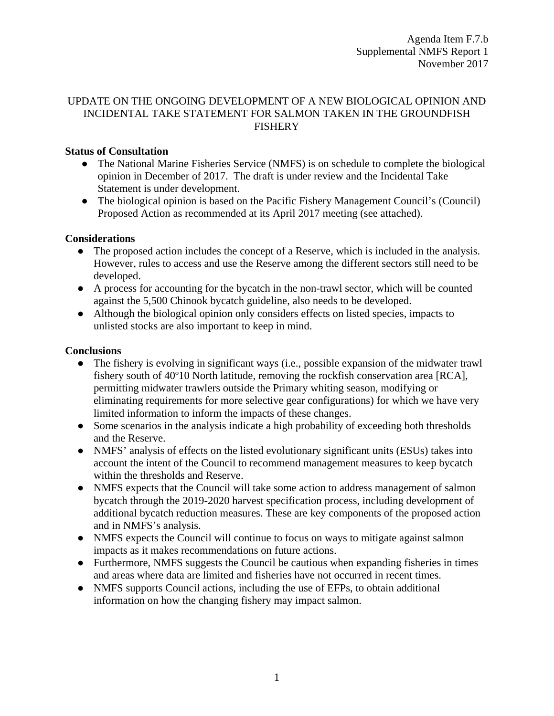### UPDATE ON THE ONGOING DEVELOPMENT OF A NEW BIOLOGICAL OPINION AND INCIDENTAL TAKE STATEMENT FOR SALMON TAKEN IN THE GROUNDFISH FISHERY

# **Status of Consultation**

- The National Marine Fisheries Service (NMFS) is on schedule to complete the biological opinion in December of 2017. The draft is under review and the Incidental Take Statement is under development.
- The biological opinion is based on the Pacific Fishery Management Council's (Council) Proposed Action as recommended at its April 2017 meeting (see attached).

### **Considerations**

- The proposed action includes the concept of a Reserve, which is included in the analysis. However, rules to access and use the Reserve among the different sectors still need to be developed.
- A process for accounting for the bycatch in the non-trawl sector, which will be counted against the 5,500 Chinook bycatch guideline, also needs to be developed.
- Although the biological opinion only considers effects on listed species, impacts to unlisted stocks are also important to keep in mind.

### **Conclusions**

- The fishery is evolving in significant ways (i.e., possible expansion of the midwater trawl fishery south of 40º10 North latitude, removing the rockfish conservation area [RCA], permitting midwater trawlers outside the Primary whiting season, modifying or eliminating requirements for more selective gear configurations) for which we have very limited information to inform the impacts of these changes.
- Some scenarios in the analysis indicate a high probability of exceeding both thresholds and the Reserve.
- NMFS' analysis of effects on the listed evolutionary significant units (ESUs) takes into account the intent of the Council to recommend management measures to keep bycatch within the thresholds and Reserve.
- NMFS expects that the Council will take some action to address management of salmon bycatch through the 2019-2020 harvest specification process, including development of additional bycatch reduction measures. These are key components of the proposed action and in NMFS's analysis.
- NMFS expects the Council will continue to focus on ways to mitigate against salmon impacts as it makes recommendations on future actions.
- Furthermore, NMFS suggests the Council be cautious when expanding fisheries in times and areas where data are limited and fisheries have not occurred in recent times.
- NMFS supports Council actions, including the use of EFPs, to obtain additional information on how the changing fishery may impact salmon.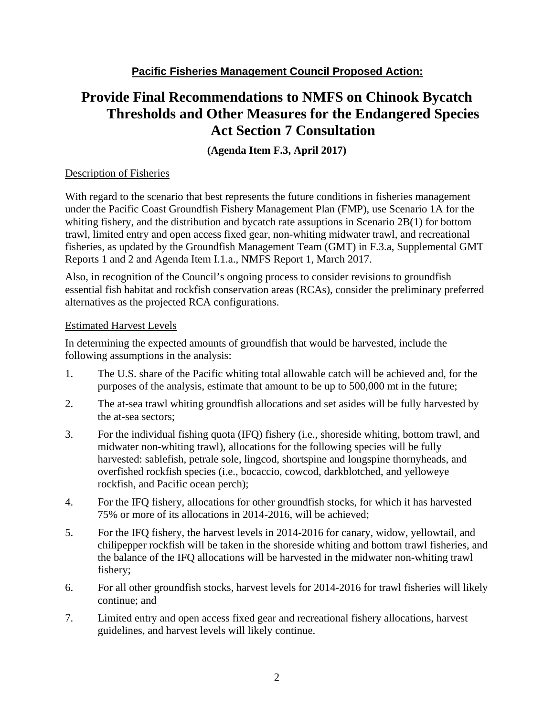# **Provide Final Recommendations to NMFS on Chinook Bycatch Thresholds and Other Measures for the Endangered Species Act Section 7 Consultation**

**(Agenda Item F.3, April 2017)**

# Description of Fisheries

With regard to the scenario that best represents the future conditions in fisheries management under the Pacific Coast Groundfish Fishery Management Plan (FMP), use Scenario 1A for the whiting fishery, and the distribution and bycatch rate assuptions in Scenario 2B(1) for bottom trawl, limited entry and open access fixed gear, non-whiting midwater trawl, and recreational fisheries, as updated by the Groundfish Management Team (GMT) in F.3.a, Supplemental GMT Reports 1 and 2 and Agenda Item I.1.a., NMFS Report 1, March 2017.

Also, in recognition of the Council's ongoing process to consider revisions to groundfish essential fish habitat and rockfish conservation areas (RCAs), consider the preliminary preferred alternatives as the projected RCA configurations.

### Estimated Harvest Levels

In determining the expected amounts of groundfish that would be harvested, include the following assumptions in the analysis:

- 1. The U.S. share of the Pacific whiting total allowable catch will be achieved and, for the purposes of the analysis, estimate that amount to be up to 500,000 mt in the future;
- 2. The at-sea trawl whiting groundfish allocations and set asides will be fully harvested by the at-sea sectors;
- 3. For the individual fishing quota (IFQ) fishery (i.e., shoreside whiting, bottom trawl, and midwater non-whiting trawl), allocations for the following species will be fully harvested: sablefish, petrale sole, lingcod, shortspine and longspine thornyheads, and overfished rockfish species (i.e., bocaccio, cowcod, darkblotched, and yelloweye rockfish, and Pacific ocean perch);
- 4. For the IFQ fishery, allocations for other groundfish stocks, for which it has harvested 75% or more of its allocations in 2014-2016, will be achieved;
- 5. For the IFQ fishery, the harvest levels in 2014-2016 for canary, widow, yellowtail, and chilipepper rockfish will be taken in the shoreside whiting and bottom trawl fisheries, and the balance of the IFQ allocations will be harvested in the midwater non-whiting trawl fishery;
- 6. For all other groundfish stocks, harvest levels for 2014-2016 for trawl fisheries will likely continue; and
- 7. Limited entry and open access fixed gear and recreational fishery allocations, harvest guidelines, and harvest levels will likely continue.